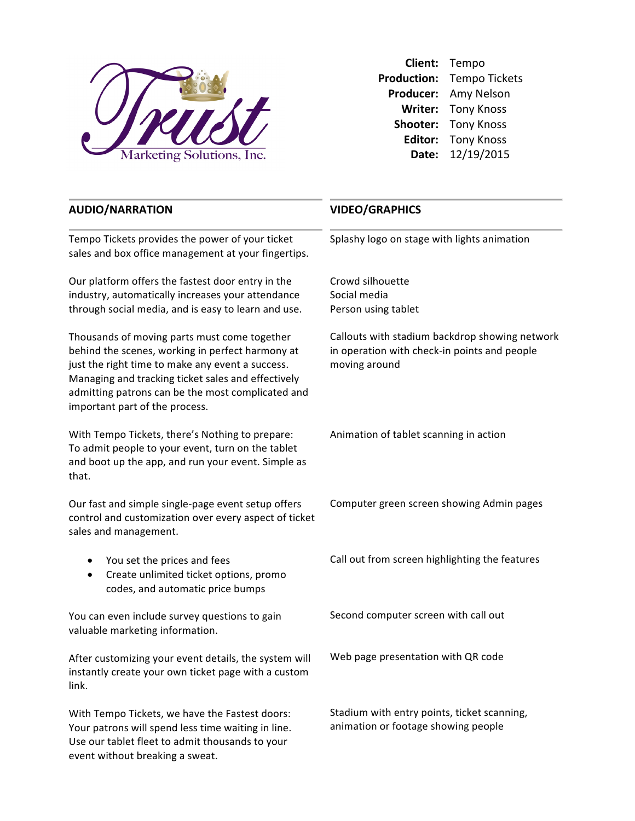

**Client:** Tempo Production: Tempo Tickets Producer: Amy Nelson **Writer:** Tony Knoss **Shooter:** Tony Knoss **Editor:** Tony Knoss **Date:** 12/19/2015

## **AUDIO/NARRATION**

Tempo Tickets provides the power of your ticket sales and box office management at your fingertips.

Our platform offers the fastest door entry in the industry, automatically increases your attendance through social media, and is easy to learn and use.

Thousands of moving parts must come together behind the scenes, working in perfect harmony at just the right time to make any event a success. Managing and tracking ticket sales and effectively admitting patrons can be the most complicated and important part of the process.

With Tempo Tickets, there's Nothing to prepare: To admit people to your event, turn on the tablet and boot up the app, and run your event. Simple as that. 

Our fast and simple single-page event setup offers control and customization over every aspect of ticket sales and management.

- You set the prices and fees
- Create unlimited ticket options, promo codes, and automatic price bumps

You can even include survey questions to gain valuable marketing information.

After customizing your event details, the system will instantly create your own ticket page with a custom link.

With Tempo Tickets, we have the Fastest doors: Your patrons will spend less time waiting in line. Use our tablet fleet to admit thousands to your event without breaking a sweat.

## **VIDEO/GRAPHICS**

Splashy logo on stage with lights animation

Crowd silhouette Social media Person using tablet

Callouts with stadium backdrop showing network in operation with check-in points and people moving around

Animation of tablet scanning in action

Computer green screen showing Admin pages

Call out from screen highlighting the features

Second computer screen with call out

Web page presentation with QR code

Stadium with entry points, ticket scanning, animation or footage showing people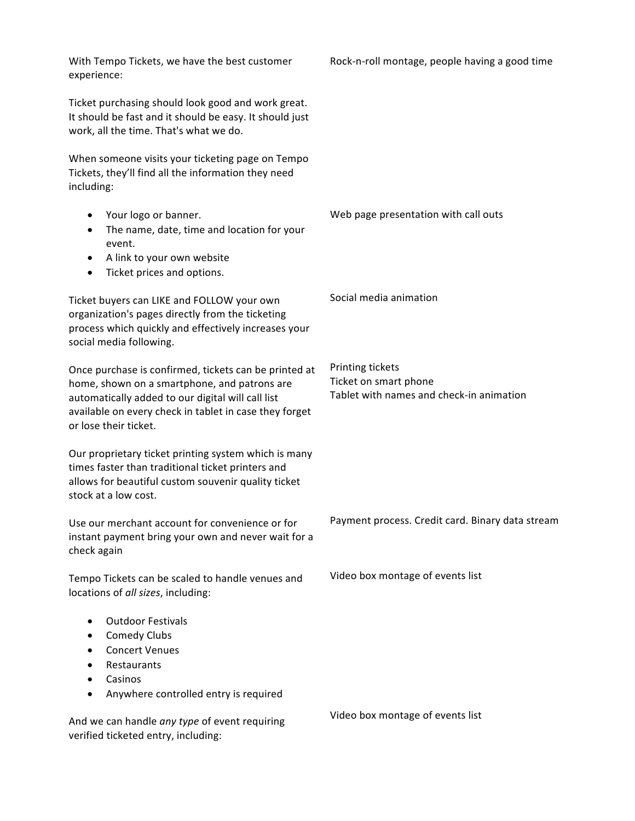| With Tempo Tickets, we have the best customer<br>experience:                                                                                                                                                                                  | Rock-n-roll montage, people having a good time                                        |
|-----------------------------------------------------------------------------------------------------------------------------------------------------------------------------------------------------------------------------------------------|---------------------------------------------------------------------------------------|
| Ticket purchasing should look good and work great.<br>It should be fast and it should be easy. It should just<br>work, all the time. That's what we do.                                                                                       |                                                                                       |
| When someone visits your ticketing page on Tempo<br>Tickets, they'll find all the information they need<br>including:                                                                                                                         |                                                                                       |
| Your logo or banner.<br>$\bullet$<br>The name, date, time and location for your<br>$\bullet$<br>event.<br>A link to your own website<br>$\bullet$<br>Ticket prices and options.<br>$\bullet$                                                  | Web page presentation with call outs                                                  |
| Ticket buyers can LIKE and FOLLOW your own<br>organization's pages directly from the ticketing<br>process which quickly and effectively increases your<br>social media following.                                                             | Social media animation                                                                |
| Once purchase is confirmed, tickets can be printed at<br>home, shown on a smartphone, and patrons are<br>automatically added to our digital will call list<br>available on every check in tablet in case they forget<br>or lose their ticket. | Printing tickets<br>Ticket on smart phone<br>Tablet with names and check-in animation |
| Our proprietary ticket printing system which is many<br>times faster than traditional ticket printers and<br>allows for beautiful custom souvenir quality ticket<br>stock at a low cost.                                                      |                                                                                       |
| Use our merchant account for convenience or for<br>instant payment bring your own and never wait for a<br>check again                                                                                                                         | Payment process. Credit card. Binary data stream                                      |
| Tempo Tickets can be scaled to handle venues and<br>locations of all sizes, including:                                                                                                                                                        | Video box montage of events list                                                      |
| <b>Outdoor Festivals</b><br>$\bullet$<br><b>Comedy Clubs</b><br>$\bullet$<br><b>Concert Venues</b><br>Restaurants<br>Casinos<br>Anywhere controlled entry is required<br>$\bullet$                                                            |                                                                                       |
| And we can handle any type of event requiring<br>verified ticketed entry, including:                                                                                                                                                          | Video box montage of events list                                                      |